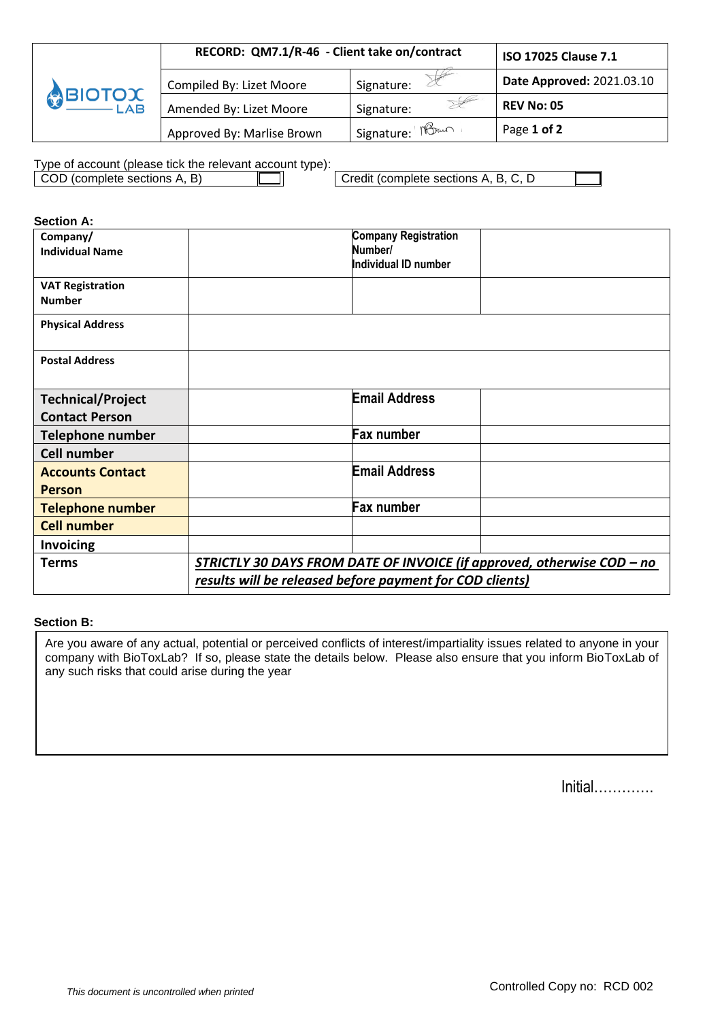|        | RECORD: QM7.1/R-46 - Client take on/contract | ISO 17025 Clause 7.1             |                           |
|--------|----------------------------------------------|----------------------------------|---------------------------|
|        | Compiled By: Lizet Moore                     | Signature:                       | Date Approved: 2021.03.10 |
| BIOTOX | Amended By: Lizet Moore                      | Signature:                       | <b>REV No: 05</b>         |
|        | Approved By: Marlise Brown                   | l Signature: గోరి <sup>ంగా</sup> | Page 1 of 2               |

Type of account (please tick the relevant account type):

| COD (complete sections A, B) | □ Credit (complete sections A, B, C, D |  |
|------------------------------|----------------------------------------|--|
|                              |                                        |  |

| <b>Section A:</b>                                 |                                                                        |
|---------------------------------------------------|------------------------------------------------------------------------|
| Company/<br><b>Individual Name</b>                | <b>Company Registration</b><br>Number/<br>Individual ID number         |
| <b>VAT Registration</b><br><b>Number</b>          |                                                                        |
| <b>Physical Address</b>                           |                                                                        |
| <b>Postal Address</b>                             |                                                                        |
| <b>Technical/Project</b><br><b>Contact Person</b> | <b>Email Address</b>                                                   |
| <b>Telephone number</b>                           | <b>Fax number</b>                                                      |
| <b>Cell number</b>                                |                                                                        |
| <b>Accounts Contact</b><br><b>Person</b>          | <b>Email Address</b>                                                   |
| <b>Telephone number</b>                           | Fax number                                                             |
| <b>Cell number</b>                                |                                                                        |
| <b>Invoicing</b>                                  |                                                                        |
| <b>Terms</b>                                      | STRICTLY 30 DAYS FROM DATE OF INVOICE (if approved, otherwise COD - no |
|                                                   | results will be released before payment for COD clients)               |

## **Section B:**

Are you aware of any actual, potential or perceived conflicts of interest/impartiality issues related to anyone in your company with BioToxLab? If so, please state the details below. Please also ensure that you inform BioToxLab of any such risks that could arise during the year

| Initial |  |  |  |  |  |
|---------|--|--|--|--|--|
|---------|--|--|--|--|--|